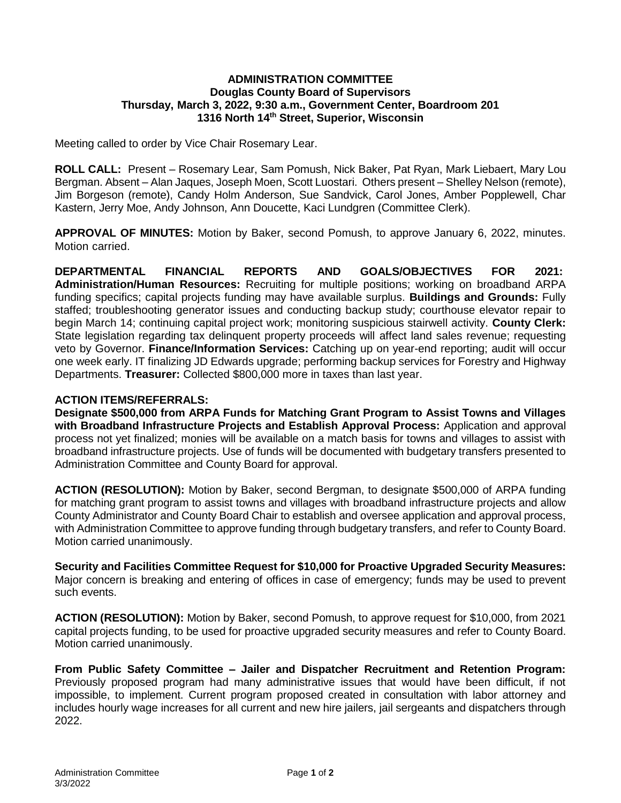## **ADMINISTRATION COMMITTEE Douglas County Board of Supervisors Thursday, March 3, 2022, 9:30 a.m., Government Center, Boardroom 201 1316 North 14th Street, Superior, Wisconsin**

Meeting called to order by Vice Chair Rosemary Lear.

**ROLL CALL:** Present – Rosemary Lear, Sam Pomush, Nick Baker, Pat Ryan, Mark Liebaert, Mary Lou Bergman. Absent – Alan Jaques, Joseph Moen, Scott Luostari. Others present – Shelley Nelson (remote), Jim Borgeson (remote), Candy Holm Anderson, Sue Sandvick, Carol Jones, Amber Popplewell, Char Kastern, Jerry Moe, Andy Johnson, Ann Doucette, Kaci Lundgren (Committee Clerk).

**APPROVAL OF MINUTES:** Motion by Baker, second Pomush, to approve January 6, 2022, minutes. Motion carried.

**DEPARTMENTAL FINANCIAL REPORTS AND GOALS/OBJECTIVES FOR 2021: Administration/Human Resources:** Recruiting for multiple positions; working on broadband ARPA funding specifics; capital projects funding may have available surplus. **Buildings and Grounds:** Fully staffed; troubleshooting generator issues and conducting backup study; courthouse elevator repair to begin March 14; continuing capital project work; monitoring suspicious stairwell activity. **County Clerk:** State legislation regarding tax delinquent property proceeds will affect land sales revenue; requesting veto by Governor. **Finance/Information Services:** Catching up on year-end reporting; audit will occur one week early. IT finalizing JD Edwards upgrade; performing backup services for Forestry and Highway Departments. **Treasurer:** Collected \$800,000 more in taxes than last year.

## **ACTION ITEMS/REFERRALS:**

**Designate \$500,000 from ARPA Funds for Matching Grant Program to Assist Towns and Villages with Broadband Infrastructure Projects and Establish Approval Process:** Application and approval process not yet finalized; monies will be available on a match basis for towns and villages to assist with broadband infrastructure projects. Use of funds will be documented with budgetary transfers presented to Administration Committee and County Board for approval.

**ACTION (RESOLUTION):** Motion by Baker, second Bergman, to designate \$500,000 of ARPA funding for matching grant program to assist towns and villages with broadband infrastructure projects and allow County Administrator and County Board Chair to establish and oversee application and approval process, with Administration Committee to approve funding through budgetary transfers, and refer to County Board. Motion carried unanimously.

**Security and Facilities Committee Request for \$10,000 for Proactive Upgraded Security Measures:** Major concern is breaking and entering of offices in case of emergency; funds may be used to prevent such events.

**ACTION (RESOLUTION):** Motion by Baker, second Pomush, to approve request for \$10,000, from 2021 capital projects funding, to be used for proactive upgraded security measures and refer to County Board. Motion carried unanimously.

**From Public Safety Committee – Jailer and Dispatcher Recruitment and Retention Program:** Previously proposed program had many administrative issues that would have been difficult, if not impossible, to implement. Current program proposed created in consultation with labor attorney and includes hourly wage increases for all current and new hire jailers, jail sergeants and dispatchers through 2022.